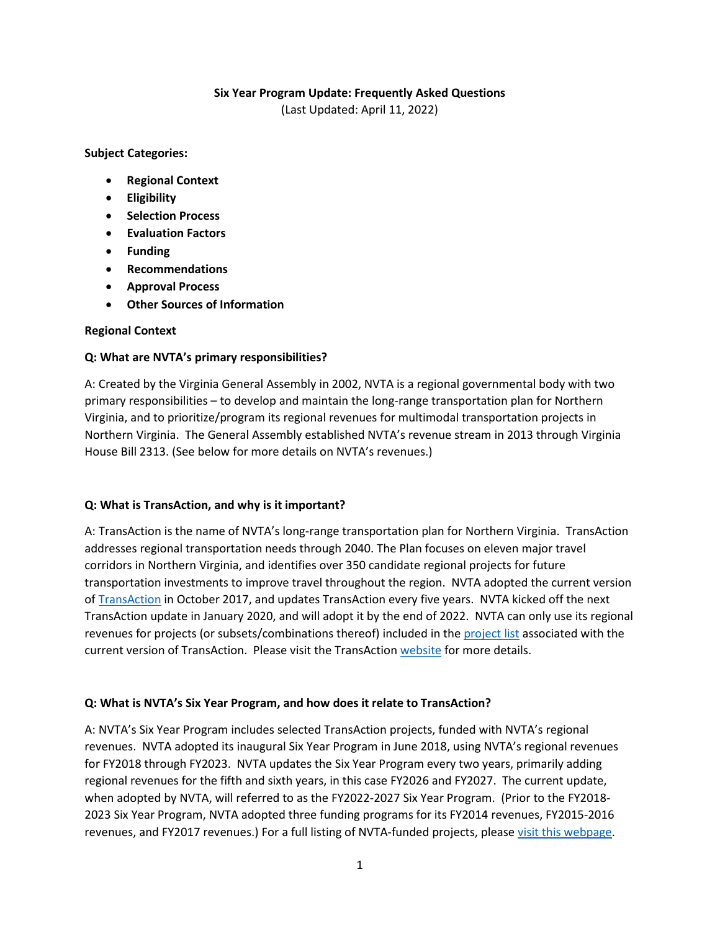### **Six Year Program Update: Frequently Asked Questions**

(Last Updated: April 11, 2022)

**Subject Categories:**

- **Regional Context**
- **Eligibility**
- **Selection Process**
- **Evaluation Factors**
- **Funding**
- **Recommendations**
- **Approval Process**
- **Other Sources of Information**

### **Regional Context**

### **Q: What are NVTA's primary responsibilities?**

A: Created by the Virginia General Assembly in 2002, NVTA is a regional governmental body with two primary responsibilities – to develop and maintain the long-range transportation plan for Northern Virginia, and to prioritize/program its regional revenues for multimodal transportation projects in Northern Virginia. The General Assembly established NVTA's revenue stream in 2013 through Virginia House Bill 2313. (See below for more details on NVTA's revenues.)

### **Q: What is TransAction, and why is it important?**

A: TransAction is the name of NVTA's long-range transportation plan for Northern Virginia. TransAction addresses regional transportation needs through 2040. The Plan focuses on eleven major travel corridors in Northern Virginia, and identifies over 350 candidate regional projects for future transportation investments to improve travel throughout the region. NVTA adopted the current version o[f TransAction](https://nvtatransaction.org/wp-content/uploads/2017/10/TransActionPlan.pdf) in October 2017, and updates TransAction every five years. NVTA kicked off the next TransAction update in January 2020, and will adopt it by the end of 2022. NVTA can only use its regional revenues for projects (or subsets/combinations thereof) included in the [project list](https://nvtatransaction.org/wp-content/uploads/2017/10/TransActionPlanProjectList.pdf) associated with the current version of TransAction. Please visit the TransActio[n website](https://nvtatransaction.org/) for more details.

### **Q: What is NVTA's Six Year Program, and how does it relate to TransAction?**

A: NVTA's Six Year Program includes selected TransAction projects, funded with NVTA's regional revenues. NVTA adopted its inaugural Six Year Program in June 2018, using NVTA's regional revenues for FY2018 through FY2023. NVTA updates the Six Year Program every two years, primarily adding regional revenues for the fifth and sixth years, in this case FY2026 and FY2027. The current update, when adopted by NVTA, will referred to as the FY2022-2027 Six Year Program. (Prior to the FY2018- 2023 Six Year Program, NVTA adopted three funding programs for its FY2014 revenues, FY2015-2016 revenues, and FY2017 revenues.) For a full listing of NVTA-funded projects, please [visit this webpage.](https://thenovaauthority.org/funded-projects/)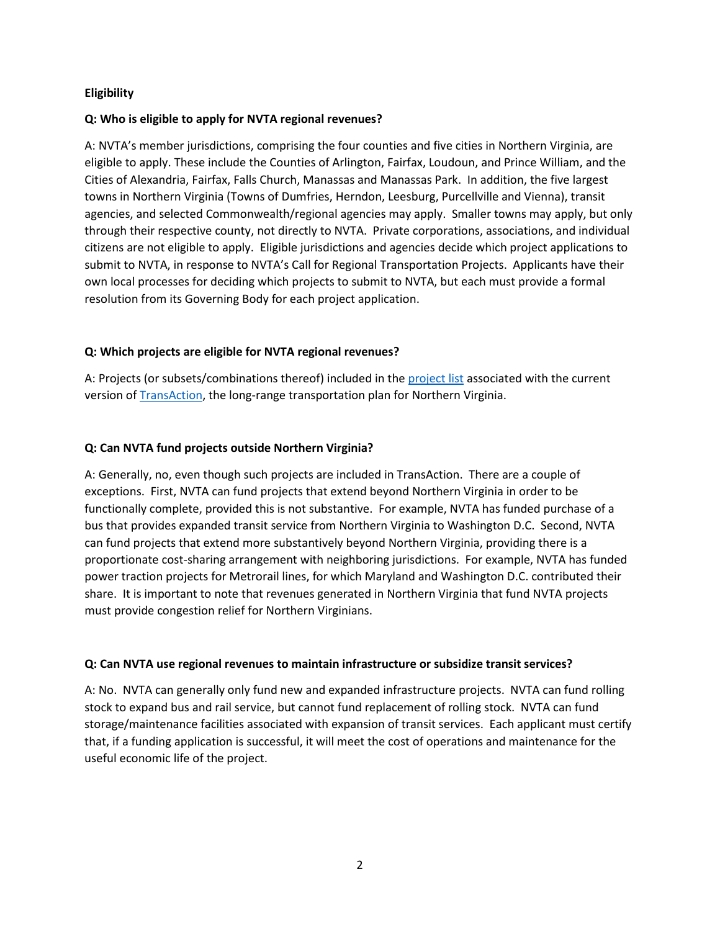### **Eligibility**

### **Q: Who is eligible to apply for NVTA regional revenues?**

A: NVTA's member jurisdictions, comprising the four counties and five cities in Northern Virginia, are eligible to apply. These include the Counties of Arlington, Fairfax, Loudoun, and Prince William, and the Cities of Alexandria, Fairfax, Falls Church, Manassas and Manassas Park. In addition, the five largest towns in Northern Virginia (Towns of Dumfries, Herndon, Leesburg, Purcellville and Vienna), transit agencies, and selected Commonwealth/regional agencies may apply. Smaller towns may apply, but only through their respective county, not directly to NVTA. Private corporations, associations, and individual citizens are not eligible to apply. Eligible jurisdictions and agencies decide which project applications to submit to NVTA, in response to NVTA's Call for Regional Transportation Projects. Applicants have their own local processes for deciding which projects to submit to NVTA, but each must provide a formal resolution from its Governing Body for each project application.

## **Q: Which projects are eligible for NVTA regional revenues?**

A: Projects (or subsets/combinations thereof) included in the [project list](https://nvtatransaction.org/wp-content/uploads/2017/10/TransActionPlanProjectList.pdf) associated with the current version of [TransAction,](https://nvtatransaction.org/wp-content/uploads/2017/10/TransActionPlan.pdf) the long-range transportation plan for Northern Virginia.

### **Q: Can NVTA fund projects outside Northern Virginia?**

A: Generally, no, even though such projects are included in TransAction. There are a couple of exceptions. First, NVTA can fund projects that extend beyond Northern Virginia in order to be functionally complete, provided this is not substantive. For example, NVTA has funded purchase of a bus that provides expanded transit service from Northern Virginia to Washington D.C. Second, NVTA can fund projects that extend more substantively beyond Northern Virginia, providing there is a proportionate cost-sharing arrangement with neighboring jurisdictions. For example, NVTA has funded power traction projects for Metrorail lines, for which Maryland and Washington D.C. contributed their share. It is important to note that revenues generated in Northern Virginia that fund NVTA projects must provide congestion relief for Northern Virginians.

### **Q: Can NVTA use regional revenues to maintain infrastructure or subsidize transit services?**

A: No. NVTA can generally only fund new and expanded infrastructure projects. NVTA can fund rolling stock to expand bus and rail service, but cannot fund replacement of rolling stock. NVTA can fund storage/maintenance facilities associated with expansion of transit services. Each applicant must certify that, if a funding application is successful, it will meet the cost of operations and maintenance for the useful economic life of the project.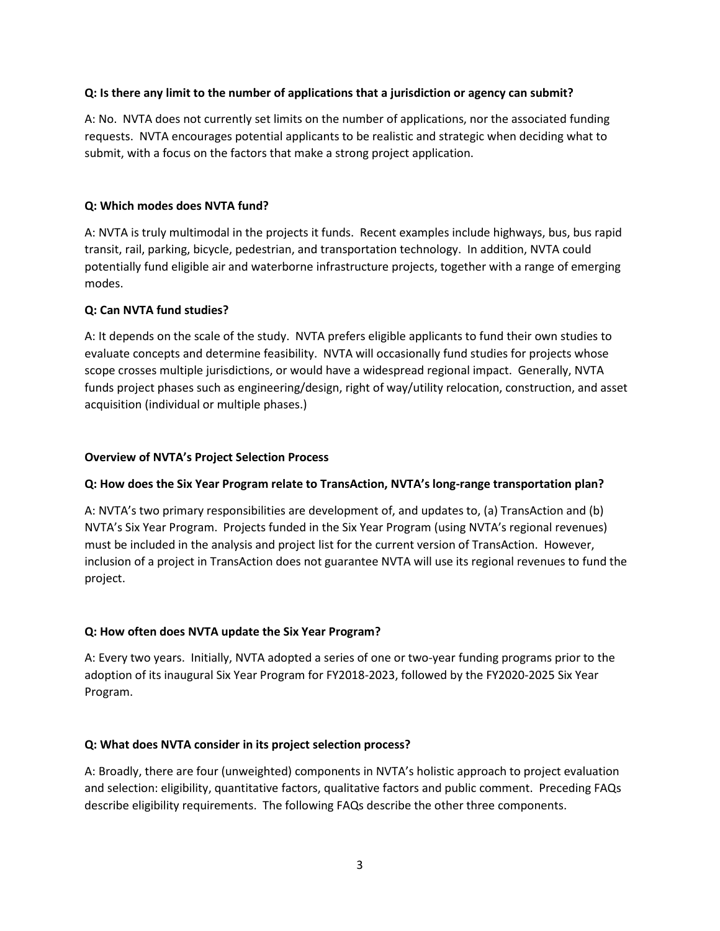### **Q: Is there any limit to the number of applications that a jurisdiction or agency can submit?**

A: No. NVTA does not currently set limits on the number of applications, nor the associated funding requests. NVTA encourages potential applicants to be realistic and strategic when deciding what to submit, with a focus on the factors that make a strong project application.

### **Q: Which modes does NVTA fund?**

A: NVTA is truly multimodal in the projects it funds. Recent examples include highways, bus, bus rapid transit, rail, parking, bicycle, pedestrian, and transportation technology. In addition, NVTA could potentially fund eligible air and waterborne infrastructure projects, together with a range of emerging modes.

### **Q: Can NVTA fund studies?**

A: It depends on the scale of the study. NVTA prefers eligible applicants to fund their own studies to evaluate concepts and determine feasibility. NVTA will occasionally fund studies for projects whose scope crosses multiple jurisdictions, or would have a widespread regional impact. Generally, NVTA funds project phases such as engineering/design, right of way/utility relocation, construction, and asset acquisition (individual or multiple phases.)

### **Overview of NVTA's Project Selection Process**

### **Q: How does the Six Year Program relate to TransAction, NVTA's long-range transportation plan?**

A: NVTA's two primary responsibilities are development of, and updates to, (a) TransAction and (b) NVTA's Six Year Program. Projects funded in the Six Year Program (using NVTA's regional revenues) must be included in the analysis and project list for the current version of TransAction. However, inclusion of a project in TransAction does not guarantee NVTA will use its regional revenues to fund the project.

## **Q: How often does NVTA update the Six Year Program?**

A: Every two years. Initially, NVTA adopted a series of one or two-year funding programs prior to the adoption of its inaugural Six Year Program for FY2018-2023, followed by the FY2020-2025 Six Year Program.

### **Q: What does NVTA consider in its project selection process?**

A: Broadly, there are four (unweighted) components in NVTA's holistic approach to project evaluation and selection: eligibility, quantitative factors, qualitative factors and public comment. Preceding FAQs describe eligibility requirements. The following FAQs describe the other three components.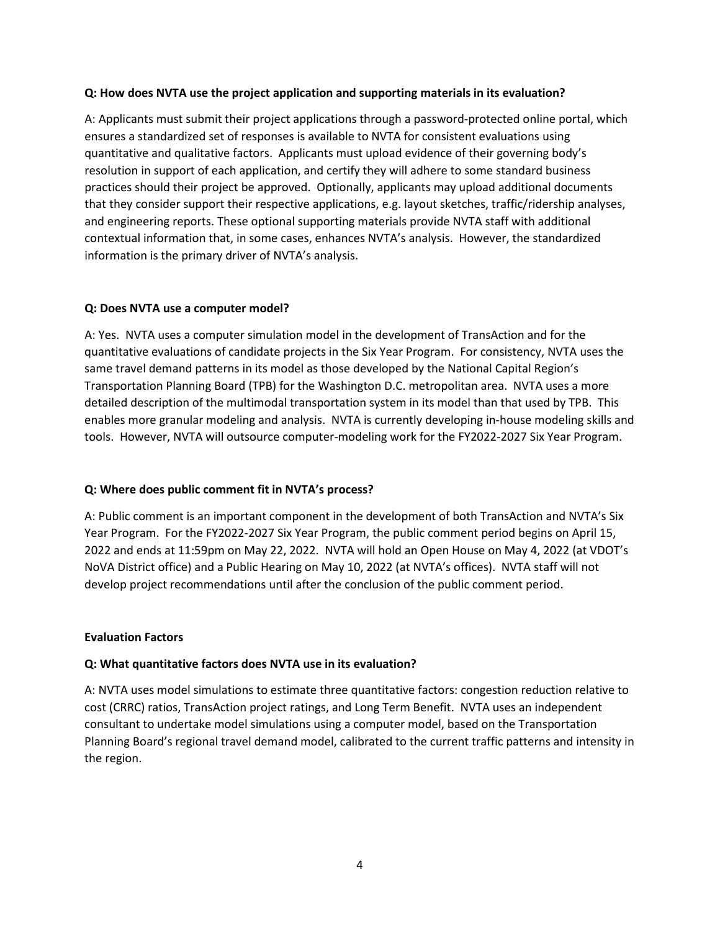#### **Q: How does NVTA use the project application and supporting materials in its evaluation?**

A: Applicants must submit their project applications through a password-protected online portal, which ensures a standardized set of responses is available to NVTA for consistent evaluations using quantitative and qualitative factors. Applicants must upload evidence of their governing body's resolution in support of each application, and certify they will adhere to some standard business practices should their project be approved. Optionally, applicants may upload additional documents that they consider support their respective applications, e.g. layout sketches, traffic/ridership analyses, and engineering reports. These optional supporting materials provide NVTA staff with additional contextual information that, in some cases, enhances NVTA's analysis. However, the standardized information is the primary driver of NVTA's analysis.

#### **Q: Does NVTA use a computer model?**

A: Yes. NVTA uses a computer simulation model in the development of TransAction and for the quantitative evaluations of candidate projects in the Six Year Program. For consistency, NVTA uses the same travel demand patterns in its model as those developed by the National Capital Region's Transportation Planning Board (TPB) for the Washington D.C. metropolitan area. NVTA uses a more detailed description of the multimodal transportation system in its model than that used by TPB. This enables more granular modeling and analysis. NVTA is currently developing in-house modeling skills and tools. However, NVTA will outsource computer-modeling work for the FY2022-2027 Six Year Program.

### **Q: Where does public comment fit in NVTA's process?**

A: Public comment is an important component in the development of both TransAction and NVTA's Six Year Program. For the FY2022-2027 Six Year Program, the public comment period begins on April 15, 2022 and ends at 11:59pm on May 22, 2022. NVTA will hold an Open House on May 4, 2022 (at VDOT's NoVA District office) and a Public Hearing on May 10, 2022 (at NVTA's offices). NVTA staff will not develop project recommendations until after the conclusion of the public comment period.

### **Evaluation Factors**

### **Q: What quantitative factors does NVTA use in its evaluation?**

A: NVTA uses model simulations to estimate three quantitative factors: congestion reduction relative to cost (CRRC) ratios, TransAction project ratings, and Long Term Benefit. NVTA uses an independent consultant to undertake model simulations using a computer model, based on the Transportation Planning Board's regional travel demand model, calibrated to the current traffic patterns and intensity in the region.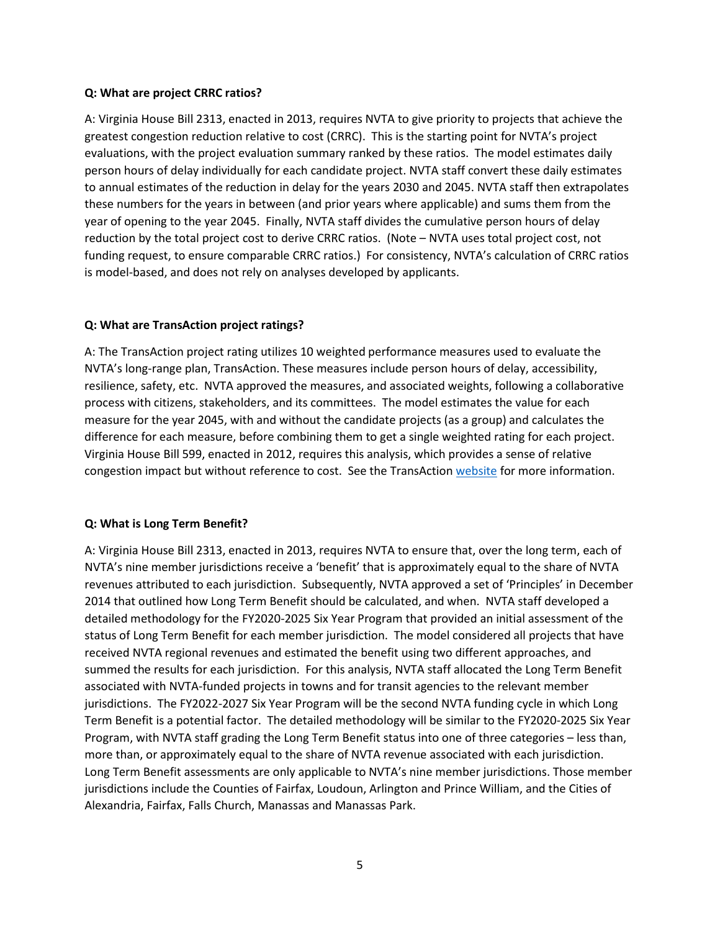#### **Q: What are project CRRC ratios?**

A: Virginia House Bill 2313, enacted in 2013, requires NVTA to give priority to projects that achieve the greatest congestion reduction relative to cost (CRRC). This is the starting point for NVTA's project evaluations, with the project evaluation summary ranked by these ratios. The model estimates daily person hours of delay individually for each candidate project. NVTA staff convert these daily estimates to annual estimates of the reduction in delay for the years 2030 and 2045. NVTA staff then extrapolates these numbers for the years in between (and prior years where applicable) and sums them from the year of opening to the year 2045. Finally, NVTA staff divides the cumulative person hours of delay reduction by the total project cost to derive CRRC ratios. (Note – NVTA uses total project cost, not funding request, to ensure comparable CRRC ratios.) For consistency, NVTA's calculation of CRRC ratios is model-based, and does not rely on analyses developed by applicants.

### **Q: What are TransAction project ratings?**

A: The TransAction project rating utilizes 10 weighted performance measures used to evaluate the NVTA's long-range plan, TransAction. These measures include person hours of delay, accessibility, resilience, safety, etc. NVTA approved the measures, and associated weights, following a collaborative process with citizens, stakeholders, and its committees. The model estimates the value for each measure for the year 2045, with and without the candidate projects (as a group) and calculates the difference for each measure, before combining them to get a single weighted rating for each project. Virginia House Bill 599, enacted in 2012, requires this analysis, which provides a sense of relative congestion impact but without reference to cost. See the TransActio[n website](https://nvtatransaction.org/evaluating-transportation-projects/) for more information.

### **Q: What is Long Term Benefit?**

A: Virginia House Bill 2313, enacted in 2013, requires NVTA to ensure that, over the long term, each of NVTA's nine member jurisdictions receive a 'benefit' that is approximately equal to the share of NVTA revenues attributed to each jurisdiction. Subsequently, NVTA approved a set of 'Principles' in December 2014 that outlined how Long Term Benefit should be calculated, and when. NVTA staff developed a detailed methodology for the FY2020-2025 Six Year Program that provided an initial assessment of the status of Long Term Benefit for each member jurisdiction. The model considered all projects that have received NVTA regional revenues and estimated the benefit using two different approaches, and summed the results for each jurisdiction. For this analysis, NVTA staff allocated the Long Term Benefit associated with NVTA-funded projects in towns and for transit agencies to the relevant member jurisdictions. The FY2022-2027 Six Year Program will be the second NVTA funding cycle in which Long Term Benefit is a potential factor. The detailed methodology will be similar to the FY2020-2025 Six Year Program, with NVTA staff grading the Long Term Benefit status into one of three categories – less than, more than, or approximately equal to the share of NVTA revenue associated with each jurisdiction. Long Term Benefit assessments are only applicable to NVTA's nine member jurisdictions. Those member jurisdictions include the Counties of Fairfax, Loudoun, Arlington and Prince William, and the Cities of Alexandria, Fairfax, Falls Church, Manassas and Manassas Park.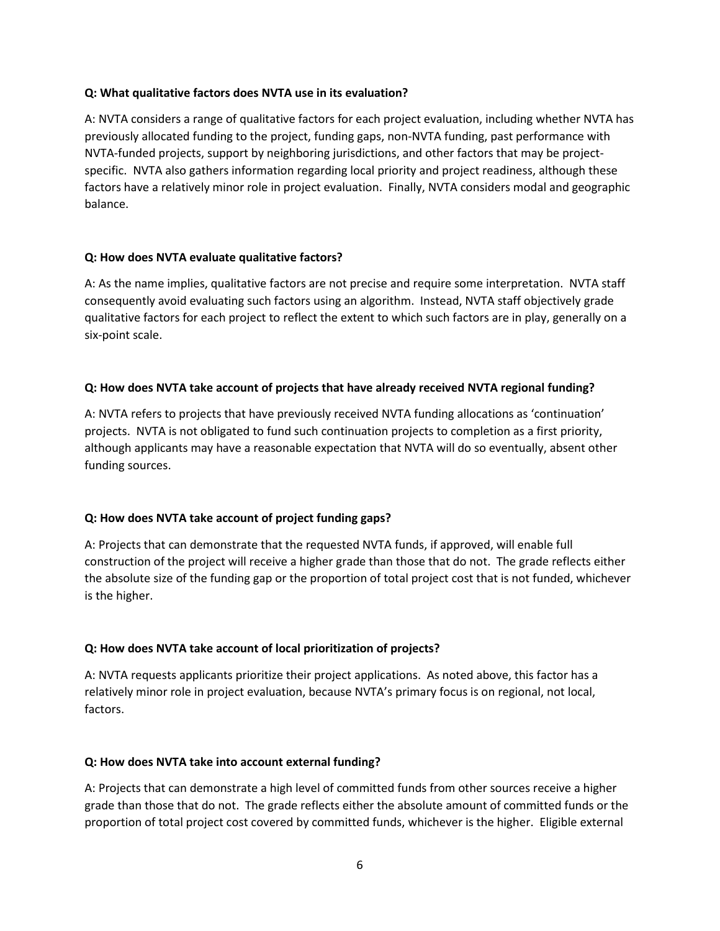### **Q: What qualitative factors does NVTA use in its evaluation?**

A: NVTA considers a range of qualitative factors for each project evaluation, including whether NVTA has previously allocated funding to the project, funding gaps, non-NVTA funding, past performance with NVTA-funded projects, support by neighboring jurisdictions, and other factors that may be projectspecific. NVTA also gathers information regarding local priority and project readiness, although these factors have a relatively minor role in project evaluation. Finally, NVTA considers modal and geographic balance.

### **Q: How does NVTA evaluate qualitative factors?**

A: As the name implies, qualitative factors are not precise and require some interpretation. NVTA staff consequently avoid evaluating such factors using an algorithm. Instead, NVTA staff objectively grade qualitative factors for each project to reflect the extent to which such factors are in play, generally on a six-point scale.

## **Q: How does NVTA take account of projects that have already received NVTA regional funding?**

A: NVTA refers to projects that have previously received NVTA funding allocations as 'continuation' projects. NVTA is not obligated to fund such continuation projects to completion as a first priority, although applicants may have a reasonable expectation that NVTA will do so eventually, absent other funding sources.

## **Q: How does NVTA take account of project funding gaps?**

A: Projects that can demonstrate that the requested NVTA funds, if approved, will enable full construction of the project will receive a higher grade than those that do not. The grade reflects either the absolute size of the funding gap or the proportion of total project cost that is not funded, whichever is the higher.

## **Q: How does NVTA take account of local prioritization of projects?**

A: NVTA requests applicants prioritize their project applications. As noted above, this factor has a relatively minor role in project evaluation, because NVTA's primary focus is on regional, not local, factors.

## **Q: How does NVTA take into account external funding?**

A: Projects that can demonstrate a high level of committed funds from other sources receive a higher grade than those that do not. The grade reflects either the absolute amount of committed funds or the proportion of total project cost covered by committed funds, whichever is the higher. Eligible external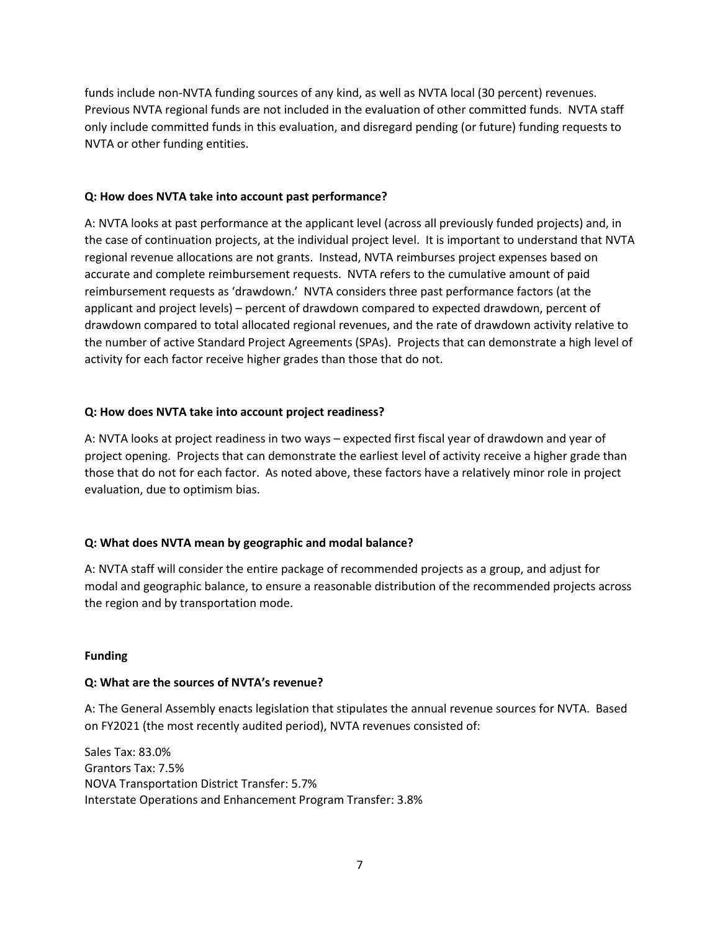funds include non-NVTA funding sources of any kind, as well as NVTA local (30 percent) revenues. Previous NVTA regional funds are not included in the evaluation of other committed funds. NVTA staff only include committed funds in this evaluation, and disregard pending (or future) funding requests to NVTA or other funding entities.

### **Q: How does NVTA take into account past performance?**

A: NVTA looks at past performance at the applicant level (across all previously funded projects) and, in the case of continuation projects, at the individual project level. It is important to understand that NVTA regional revenue allocations are not grants. Instead, NVTA reimburses project expenses based on accurate and complete reimbursement requests. NVTA refers to the cumulative amount of paid reimbursement requests as 'drawdown.' NVTA considers three past performance factors (at the applicant and project levels) – percent of drawdown compared to expected drawdown, percent of drawdown compared to total allocated regional revenues, and the rate of drawdown activity relative to the number of active Standard Project Agreements (SPAs). Projects that can demonstrate a high level of activity for each factor receive higher grades than those that do not.

### **Q: How does NVTA take into account project readiness?**

A: NVTA looks at project readiness in two ways – expected first fiscal year of drawdown and year of project opening. Projects that can demonstrate the earliest level of activity receive a higher grade than those that do not for each factor. As noted above, these factors have a relatively minor role in project evaluation, due to optimism bias.

## **Q: What does NVTA mean by geographic and modal balance?**

A: NVTA staff will consider the entire package of recommended projects as a group, and adjust for modal and geographic balance, to ensure a reasonable distribution of the recommended projects across the region and by transportation mode.

### **Funding**

## **Q: What are the sources of NVTA's revenue?**

A: The General Assembly enacts legislation that stipulates the annual revenue sources for NVTA. Based on FY2021 (the most recently audited period), NVTA revenues consisted of:

Sales Tax: 83.0% Grantors Tax: 7.5% NOVA Transportation District Transfer: 5.7% Interstate Operations and Enhancement Program Transfer: 3.8%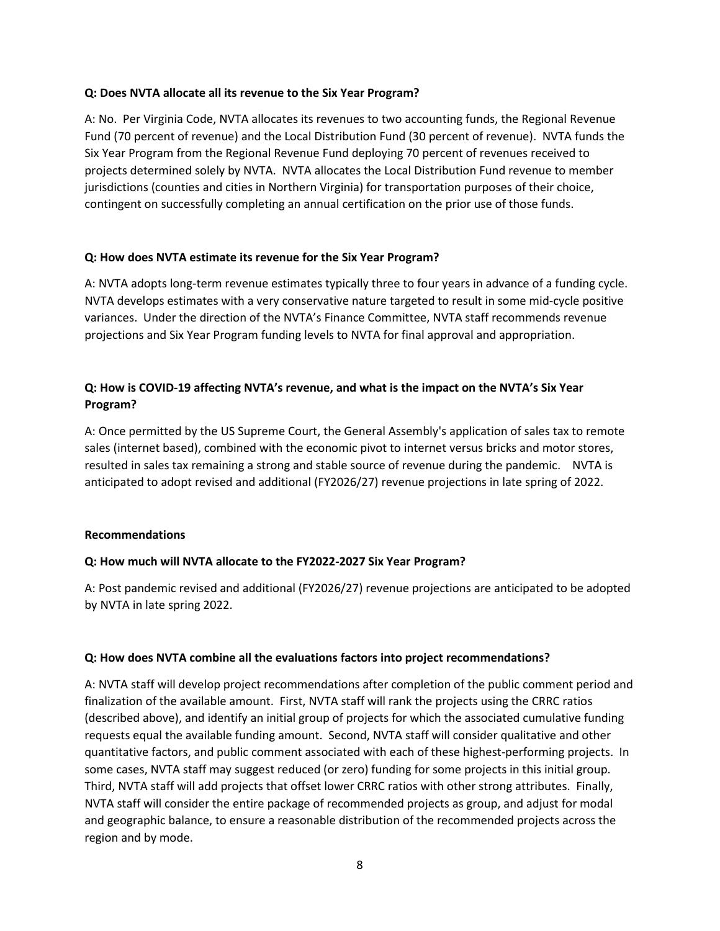### **Q: Does NVTA allocate all its revenue to the Six Year Program?**

A: No. Per Virginia Code, NVTA allocates its revenues to two accounting funds, the Regional Revenue Fund (70 percent of revenue) and the Local Distribution Fund (30 percent of revenue). NVTA funds the Six Year Program from the Regional Revenue Fund deploying 70 percent of revenues received to projects determined solely by NVTA. NVTA allocates the Local Distribution Fund revenue to member jurisdictions (counties and cities in Northern Virginia) for transportation purposes of their choice, contingent on successfully completing an annual certification on the prior use of those funds.

### **Q: How does NVTA estimate its revenue for the Six Year Program?**

A: NVTA adopts long-term revenue estimates typically three to four years in advance of a funding cycle. NVTA develops estimates with a very conservative nature targeted to result in some mid-cycle positive variances. Under the direction of the NVTA's Finance Committee, NVTA staff recommends revenue projections and Six Year Program funding levels to NVTA for final approval and appropriation.

# **Q: How is COVID-19 affecting NVTA's revenue, and what is the impact on the NVTA's Six Year Program?**

A: Once permitted by the US Supreme Court, the General Assembly's application of sales tax to remote sales (internet based), combined with the economic pivot to internet versus bricks and motor stores, resulted in sales tax remaining a strong and stable source of revenue during the pandemic. NVTA is anticipated to adopt revised and additional (FY2026/27) revenue projections in late spring of 2022.

### **Recommendations**

## **Q: How much will NVTA allocate to the FY2022-2027 Six Year Program?**

A: Post pandemic revised and additional (FY2026/27) revenue projections are anticipated to be adopted by NVTA in late spring 2022.

### **Q: How does NVTA combine all the evaluations factors into project recommendations?**

A: NVTA staff will develop project recommendations after completion of the public comment period and finalization of the available amount. First, NVTA staff will rank the projects using the CRRC ratios (described above), and identify an initial group of projects for which the associated cumulative funding requests equal the available funding amount. Second, NVTA staff will consider qualitative and other quantitative factors, and public comment associated with each of these highest-performing projects. In some cases, NVTA staff may suggest reduced (or zero) funding for some projects in this initial group. Third, NVTA staff will add projects that offset lower CRRC ratios with other strong attributes. Finally, NVTA staff will consider the entire package of recommended projects as group, and adjust for modal and geographic balance, to ensure a reasonable distribution of the recommended projects across the region and by mode.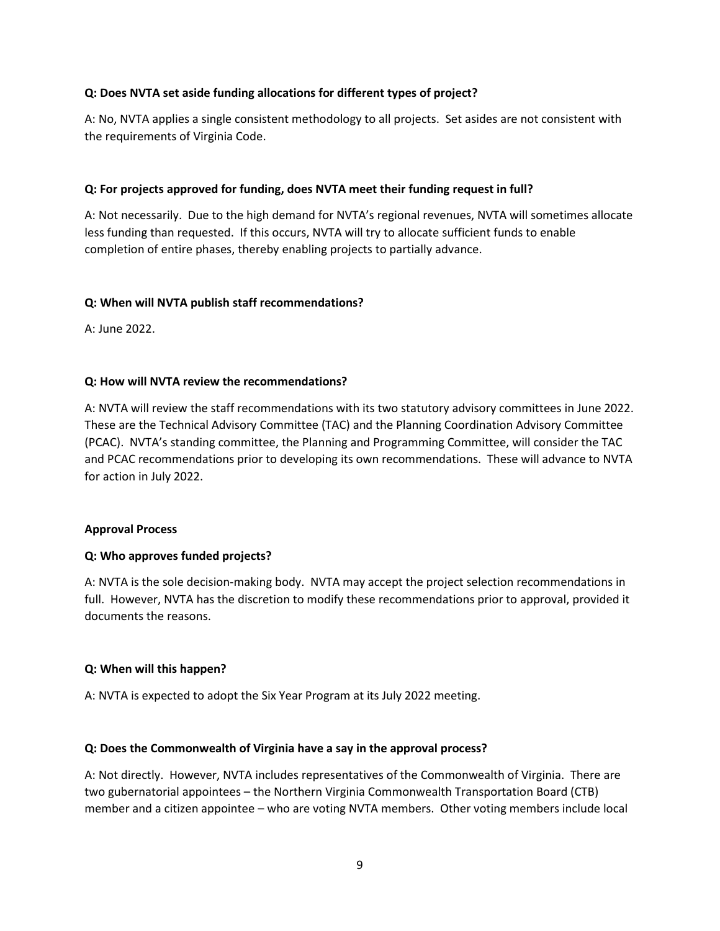### **Q: Does NVTA set aside funding allocations for different types of project?**

A: No, NVTA applies a single consistent methodology to all projects. Set asides are not consistent with the requirements of Virginia Code.

### **Q: For projects approved for funding, does NVTA meet their funding request in full?**

A: Not necessarily. Due to the high demand for NVTA's regional revenues, NVTA will sometimes allocate less funding than requested. If this occurs, NVTA will try to allocate sufficient funds to enable completion of entire phases, thereby enabling projects to partially advance.

### **Q: When will NVTA publish staff recommendations?**

A: June 2022.

### **Q: How will NVTA review the recommendations?**

A: NVTA will review the staff recommendations with its two statutory advisory committees in June 2022. These are the Technical Advisory Committee (TAC) and the Planning Coordination Advisory Committee (PCAC). NVTA's standing committee, the Planning and Programming Committee, will consider the TAC and PCAC recommendations prior to developing its own recommendations. These will advance to NVTA for action in July 2022.

### **Approval Process**

## **Q: Who approves funded projects?**

A: NVTA is the sole decision-making body. NVTA may accept the project selection recommendations in full. However, NVTA has the discretion to modify these recommendations prior to approval, provided it documents the reasons.

## **Q: When will this happen?**

A: NVTA is expected to adopt the Six Year Program at its July 2022 meeting.

### **Q: Does the Commonwealth of Virginia have a say in the approval process?**

A: Not directly. However, NVTA includes representatives of the Commonwealth of Virginia. There are two gubernatorial appointees – the Northern Virginia Commonwealth Transportation Board (CTB) member and a citizen appointee – who are voting NVTA members. Other voting members include local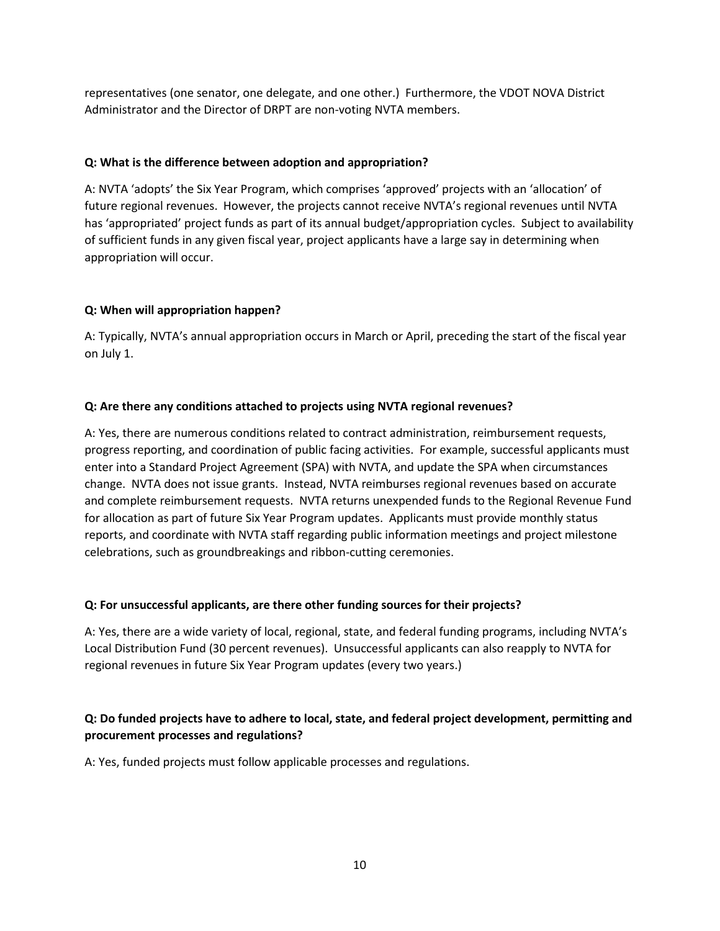representatives (one senator, one delegate, and one other.) Furthermore, the VDOT NOVA District Administrator and the Director of DRPT are non-voting NVTA members.

### **Q: What is the difference between adoption and appropriation?**

A: NVTA 'adopts' the Six Year Program, which comprises 'approved' projects with an 'allocation' of future regional revenues. However, the projects cannot receive NVTA's regional revenues until NVTA has 'appropriated' project funds as part of its annual budget/appropriation cycles. Subject to availability of sufficient funds in any given fiscal year, project applicants have a large say in determining when appropriation will occur.

### **Q: When will appropriation happen?**

A: Typically, NVTA's annual appropriation occurs in March or April, preceding the start of the fiscal year on July 1.

### **Q: Are there any conditions attached to projects using NVTA regional revenues?**

A: Yes, there are numerous conditions related to contract administration, reimbursement requests, progress reporting, and coordination of public facing activities. For example, successful applicants must enter into a Standard Project Agreement (SPA) with NVTA, and update the SPA when circumstances change. NVTA does not issue grants. Instead, NVTA reimburses regional revenues based on accurate and complete reimbursement requests. NVTA returns unexpended funds to the Regional Revenue Fund for allocation as part of future Six Year Program updates. Applicants must provide monthly status reports, and coordinate with NVTA staff regarding public information meetings and project milestone celebrations, such as groundbreakings and ribbon-cutting ceremonies.

## **Q: For unsuccessful applicants, are there other funding sources for their projects?**

A: Yes, there are a wide variety of local, regional, state, and federal funding programs, including NVTA's Local Distribution Fund (30 percent revenues). Unsuccessful applicants can also reapply to NVTA for regional revenues in future Six Year Program updates (every two years.)

# **Q: Do funded projects have to adhere to local, state, and federal project development, permitting and procurement processes and regulations?**

A: Yes, funded projects must follow applicable processes and regulations.